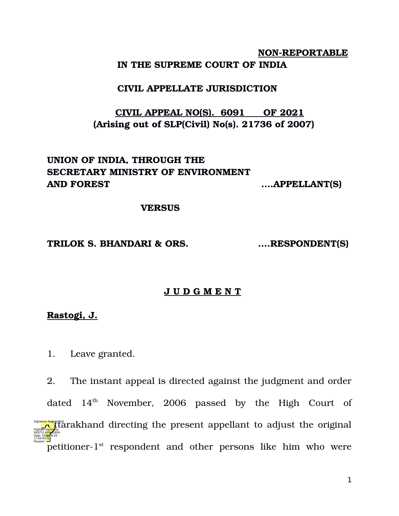## **NON-REPORTABLE IN THE SUPREME COURT OF INDIA**

### **CIVIL APPELLATE JURISDICTION**

# **CIVIL APPEAL NO(S). 6091 OF 2021 (Arising out of SLP(Civil) No(s). 21736 of 2007)**

# **UNION OF INDIA, THROUGH THE SECRETARY MINISTRY OF ENVIRONMENT AND FOREST ….APPELLANT(S)**

#### **VERSUS**

#### **TRILOK S. BHANDARI & ORS. ….RESPONDENT(S)**

### **J U D G M E N T**

### **Rastogi, J.**

1. Leave granted.

2. The instant appeal is directed against the judgment and order dated  $14<sup>th</sup>$  November, 2006 passed by the High Court of  $\sum_{\text{Daryalgebra}}$  and  $\sum_{\text{Daryalgebra}}$  and  $\sum_{\text{Daryalgebra}}$  the present appellant to adjust the original  $\frac{1}{2}$  petitioner-1st respondent and other persons like him who were NEETU KHAJURIA Date: 2024-09.29 17:54:44<sup>TST</sup> Reason: Signature Not Verified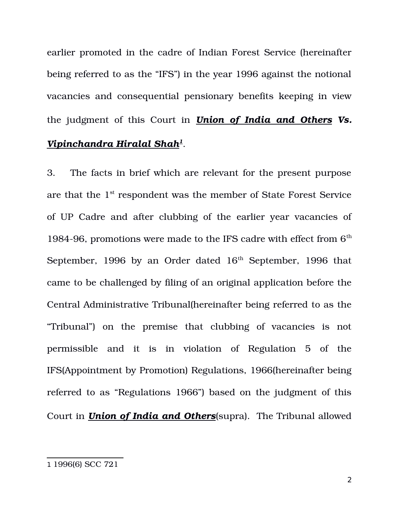earlier promoted in the cadre of Indian Forest Service (hereinafter being referred to as the "IFS") in the year 1996 against the notional vacancies and consequential pensionary benefits keeping in view the judgment of this Court in *Union of India and Others Vs. Vipinchandra Hiralal Shah[1](#page-1-0)* .

3. The facts in brief which are relevant for the present purpose are that the 1st respondent was the member of State Forest Service of UP Cadre and after clubbing of the earlier year vacancies of 1984-96, promotions were made to the IFS cadre with effect from  $6<sup>th</sup>$ September, 1996 by an Order dated  $16<sup>th</sup>$  September, 1996 that came to be challenged by filing of an original application before the Central Administrative Tribunal(hereinafter being referred to as the "Tribunal") on the premise that clubbing of vacancies is not permissible and it is in violation of Regulation 5 of the IFS(Appointment by Promotion) Regulations, 1966(hereinafter being referred to as "Regulations 1966") based on the judgment of this Court in *Union of India and Others*(supra). The Tribunal allowed

<span id="page-1-0"></span><sup>1</sup> 1996(6) SCC 721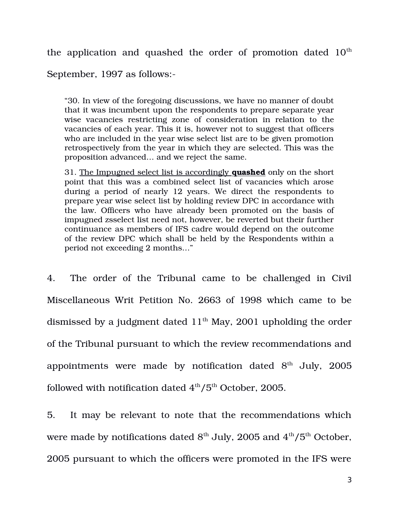the application and quashed the order of promotion dated  $10<sup>th</sup>$ 

September, 1997 as follows:

"30. In view of the foregoing discussions, we have no manner of doubt that it was incumbent upon the respondents to prepare separate year wise vacancies restricting zone of consideration in relation to the vacancies of each year. This it is, however not to suggest that officers who are included in the year wise select list are to be given promotion retrospectively from the year in which they are selected. This was the proposition advanced… and we reject the same.

31. The Impugned select list is accordingly **quashed** only on the short point that this was a combined select list of vacancies which arose during a period of nearly 12 years. We direct the respondents to prepare year wise select list by holding review DPC in accordance with the law. Officers who have already been promoted on the basis of impugned zsselect list need not, however, be reverted but their further continuance as members of IFS cadre would depend on the outcome of the review DPC which shall be held by the Respondents within a period not exceeding 2 months…"

4. The order of the Tribunal came to be challenged in Civil Miscellaneous Writ Petition No. 2663 of 1998 which came to be dismissed by a judgment dated  $11<sup>th</sup>$  May, 2001 upholding the order of the Tribunal pursuant to which the review recommendations and appointments were made by notification dated  $8<sup>th</sup>$  July, 2005 followed with notification dated  $4<sup>th</sup>/5<sup>th</sup>$  October, 2005.

5. It may be relevant to note that the recommendations which were made by notifications dated  $8<sup>th</sup>$  July, 2005 and  $4<sup>th</sup>/5<sup>th</sup>$  October, 2005 pursuant to which the officers were promoted in the IFS were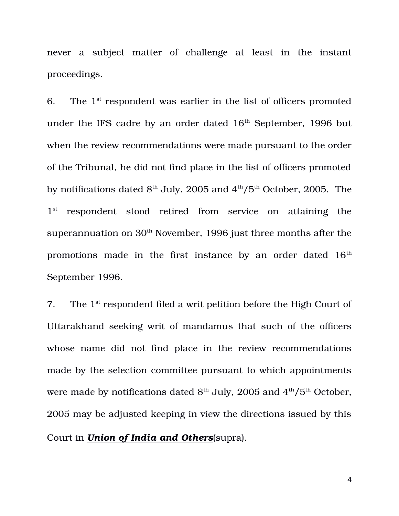never a subject matter of challenge at least in the instant proceedings.

6. The  $1<sup>st</sup>$  respondent was earlier in the list of officers promoted under the IFS cadre by an order dated  $16<sup>th</sup>$  September, 1996 but when the review recommendations were made pursuant to the order of the Tribunal, he did not find place in the list of officers promoted by notifications dated  $8<sup>th</sup>$  July, 2005 and  $4<sup>th</sup>/5<sup>th</sup>$  October, 2005. The 1<sup>st</sup> respondent stood retired from service on attaining the superannuation on  $30<sup>th</sup>$  November, 1996 just three months after the promotions made in the first instance by an order dated 16<sup>th</sup> September 1996.

7. The  $1<sup>st</sup>$  respondent filed a writ petition before the High Court of Uttarakhand seeking writ of mandamus that such of the officers whose name did not find place in the review recommendations made by the selection committee pursuant to which appointments were made by notifications dated  $8<sup>th</sup>$  July, 2005 and  $4<sup>th</sup>/5<sup>th</sup>$  October, 2005 may be adjusted keeping in view the directions issued by this Court in *Union of India and Others*(supra).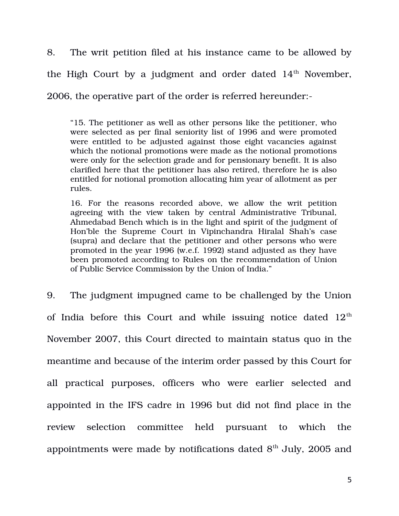8. The writ petition filed at his instance came to be allowed by the High Court by a judgment and order dated  $14<sup>th</sup>$  November, 2006, the operative part of the order is referred hereunder:

"15. The petitioner as well as other persons like the petitioner, who were selected as per final seniority list of 1996 and were promoted were entitled to be adjusted against those eight vacancies against which the notional promotions were made as the notional promotions were only for the selection grade and for pensionary benefit. It is also clarified here that the petitioner has also retired, therefore he is also entitled for notional promotion allocating him year of allotment as per rules.

16. For the reasons recorded above, we allow the writ petition agreeing with the view taken by central Administrative Tribunal, Ahmedabad Bench which is in the light and spirit of the judgment of Hon'ble the Supreme Court in Vipinchandra Hiralal Shah's case (supra) and declare that the petitioner and other persons who were promoted in the year 1996 (w.e.f. 1992) stand adjusted as they have been promoted according to Rules on the recommendation of Union of Public Service Commission by the Union of India."

9. The judgment impugned came to be challenged by the Union of India before this Court and while issuing notice dated  $12<sup>th</sup>$ November 2007, this Court directed to maintain status quo in the meantime and because of the interim order passed by this Court for all practical purposes, officers who were earlier selected and appointed in the IFS cadre in 1996 but did not find place in the review selection committee held pursuant to which the appointments were made by notifications dated  $8<sup>th</sup>$  July, 2005 and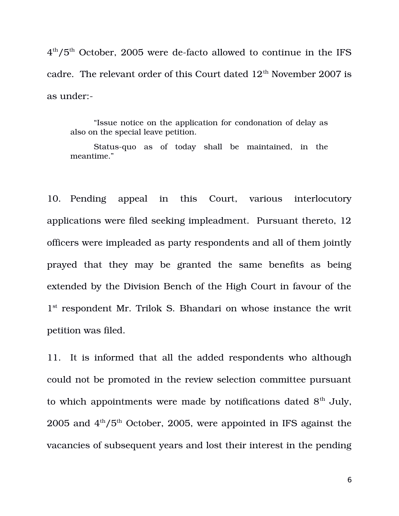$4^{\rm th}/5^{\rm th}$  October, 2005 were de-facto allowed to continue in the IFS cadre. The relevant order of this Court dated  $12<sup>th</sup>$  November 2007 is as under:

"Issue notice on the application for condonation of delay as also on the special leave petition.

Status-quo as of today shall be maintained, in the meantime."

10. Pending appeal in this Court, various interlocutory applications were filed seeking impleadment. Pursuant thereto, 12 officers were impleaded as party respondents and all of them jointly prayed that they may be granted the same benefits as being extended by the Division Bench of the High Court in favour of the 1<sup>st</sup> respondent Mr. Trilok S. Bhandari on whose instance the writ petition was filed.

11. It is informed that all the added respondents who although could not be promoted in the review selection committee pursuant to which appointments were made by notifications dated  $8<sup>th</sup>$  July, 2005 and  $4<sup>th</sup>/5<sup>th</sup>$  October, 2005, were appointed in IFS against the vacancies of subsequent years and lost their interest in the pending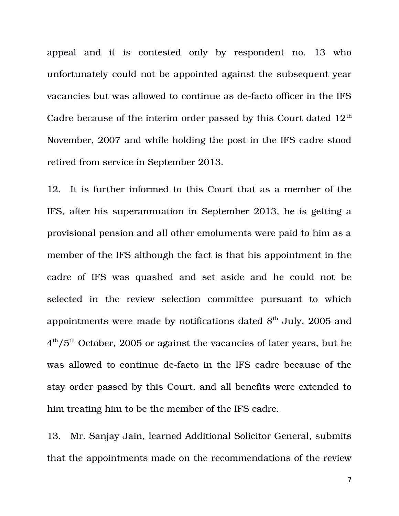appeal and it is contested only by respondent no. 13 who unfortunately could not be appointed against the subsequent year vacancies but was allowed to continue as de-facto officer in the IFS Cadre because of the interim order passed by this Court dated  $12<sup>th</sup>$ November, 2007 and while holding the post in the IFS cadre stood retired from service in September 2013.

12. It is further informed to this Court that as a member of the IFS, after his superannuation in September 2013, he is getting a provisional pension and all other emoluments were paid to him as a member of the IFS although the fact is that his appointment in the cadre of IFS was quashed and set aside and he could not be selected in the review selection committee pursuant to which appointments were made by notifications dated  $8<sup>th</sup>$  July, 2005 and  $4<sup>th</sup>/5<sup>th</sup>$  October, 2005 or against the vacancies of later years, but he was allowed to continue de-facto in the IFS cadre because of the stay order passed by this Court, and all benefits were extended to him treating him to be the member of the IFS cadre.

13. Mr. Sanjay Jain, learned Additional Solicitor General, submits that the appointments made on the recommendations of the review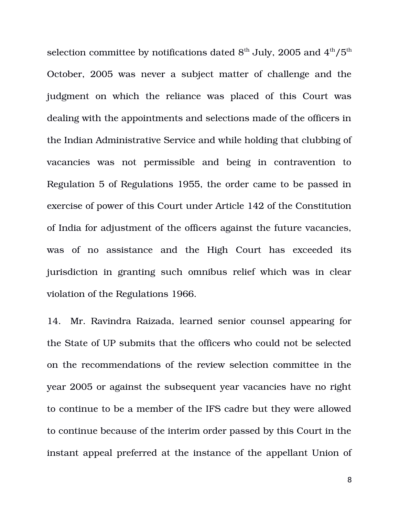selection committee by notifications dated  $8<sup>th</sup>$  July, 2005 and  $4<sup>th</sup>/5<sup>th</sup>$ October, 2005 was never a subject matter of challenge and the judgment on which the reliance was placed of this Court was dealing with the appointments and selections made of the officers in the Indian Administrative Service and while holding that clubbing of vacancies was not permissible and being in contravention to Regulation 5 of Regulations 1955, the order came to be passed in exercise of power of this Court under Article 142 of the Constitution of India for adjustment of the officers against the future vacancies, was of no assistance and the High Court has exceeded its jurisdiction in granting such omnibus relief which was in clear violation of the Regulations 1966.

14. Mr. Ravindra Raizada, learned senior counsel appearing for the State of UP submits that the officers who could not be selected on the recommendations of the review selection committee in the year 2005 or against the subsequent year vacancies have no right to continue to be a member of the IFS cadre but they were allowed to continue because of the interim order passed by this Court in the instant appeal preferred at the instance of the appellant Union of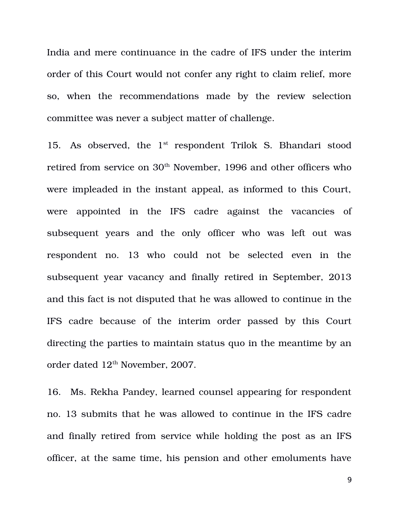India and mere continuance in the cadre of IFS under the interim order of this Court would not confer any right to claim relief, more so, when the recommendations made by the review selection committee was never a subject matter of challenge.

15. As observed, the 1<sup>st</sup> respondent Trilok S. Bhandari stood retired from service on 30<sup>th</sup> November, 1996 and other officers who were impleaded in the instant appeal, as informed to this Court, were appointed in the IFS cadre against the vacancies of subsequent years and the only officer who was left out was respondent no. 13 who could not be selected even in the subsequent year vacancy and finally retired in September, 2013 and this fact is not disputed that he was allowed to continue in the IFS cadre because of the interim order passed by this Court directing the parties to maintain status quo in the meantime by an order dated  $12<sup>th</sup>$  November, 2007.

16. Ms. Rekha Pandey, learned counsel appearing for respondent no. 13 submits that he was allowed to continue in the IFS cadre and finally retired from service while holding the post as an IFS officer, at the same time, his pension and other emoluments have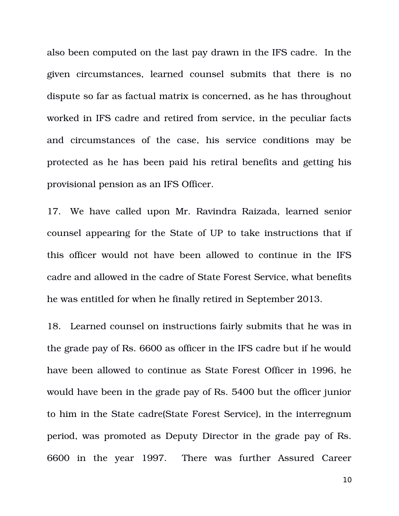also been computed on the last pay drawn in the IFS cadre. In the given circumstances, learned counsel submits that there is no dispute so far as factual matrix is concerned, as he has throughout worked in IFS cadre and retired from service, in the peculiar facts and circumstances of the case, his service conditions may be protected as he has been paid his retiral benefits and getting his provisional pension as an IFS Officer.

17. We have called upon Mr. Ravindra Raizada, learned senior counsel appearing for the State of UP to take instructions that if this officer would not have been allowed to continue in the IFS cadre and allowed in the cadre of State Forest Service, what benefits he was entitled for when he finally retired in September 2013.

18. Learned counsel on instructions fairly submits that he was in the grade pay of Rs. 6600 as officer in the IFS cadre but if he would have been allowed to continue as State Forest Officer in 1996, he would have been in the grade pay of Rs. 5400 but the officer junior to him in the State cadre(State Forest Service), in the interregnum period, was promoted as Deputy Director in the grade pay of Rs. 6600 in the year 1997. There was further Assured Career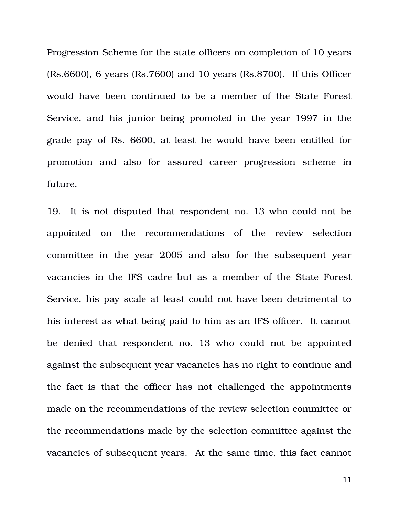Progression Scheme for the state officers on completion of 10 years (Rs.6600), 6 years (Rs.7600) and 10 years (Rs.8700). If this Officer would have been continued to be a member of the State Forest Service, and his junior being promoted in the year 1997 in the grade pay of Rs. 6600, at least he would have been entitled for promotion and also for assured career progression scheme in future.

19. It is not disputed that respondent no. 13 who could not be appointed on the recommendations of the review selection committee in the year 2005 and also for the subsequent year vacancies in the IFS cadre but as a member of the State Forest Service, his pay scale at least could not have been detrimental to his interest as what being paid to him as an IFS officer. It cannot be denied that respondent no. 13 who could not be appointed against the subsequent year vacancies has no right to continue and the fact is that the officer has not challenged the appointments made on the recommendations of the review selection committee or the recommendations made by the selection committee against the vacancies of subsequent years. At the same time, this fact cannot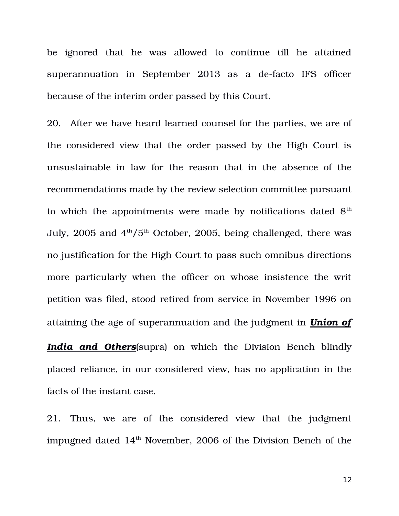be ignored that he was allowed to continue till he attained superannuation in September 2013 as a de-facto IFS officer because of the interim order passed by this Court.

20. After we have heard learned counsel for the parties, we are of the considered view that the order passed by the High Court is unsustainable in law for the reason that in the absence of the recommendations made by the review selection committee pursuant to which the appointments were made by notifications dated  $8<sup>th</sup>$ July, 2005 and  $4<sup>th</sup>/5<sup>th</sup>$  October, 2005, being challenged, there was no justification for the High Court to pass such omnibus directions more particularly when the officer on whose insistence the writ petition was filed, stood retired from service in November 1996 on attaining the age of superannuation and the judgment in *Union of*

*India and Others*(supra) on which the Division Bench blindly placed reliance, in our considered view, has no application in the facts of the instant case.

21. Thus, we are of the considered view that the judgment impugned dated  $14<sup>th</sup>$  November, 2006 of the Division Bench of the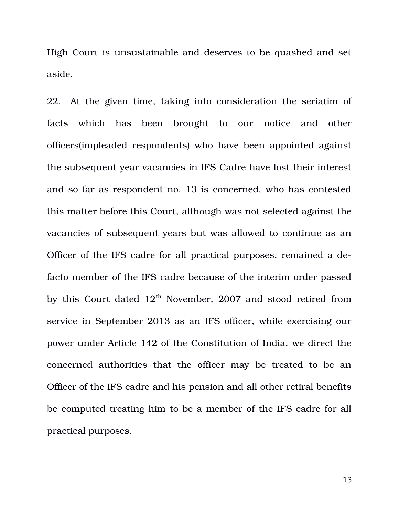High Court is unsustainable and deserves to be quashed and set aside.

22. At the given time, taking into consideration the seriatim of facts which has been brought to our notice and other officers(impleaded respondents) who have been appointed against the subsequent year vacancies in IFS Cadre have lost their interest and so far as respondent no. 13 is concerned, who has contested this matter before this Court, although was not selected against the vacancies of subsequent years but was allowed to continue as an Officer of the IFS cadre for all practical purposes, remained a defacto member of the IFS cadre because of the interim order passed by this Court dated  $12<sup>th</sup>$  November, 2007 and stood retired from service in September 2013 as an IFS officer, while exercising our power under Article 142 of the Constitution of India, we direct the concerned authorities that the officer may be treated to be an Officer of the IFS cadre and his pension and all other retiral benefits be computed treating him to be a member of the IFS cadre for all practical purposes.